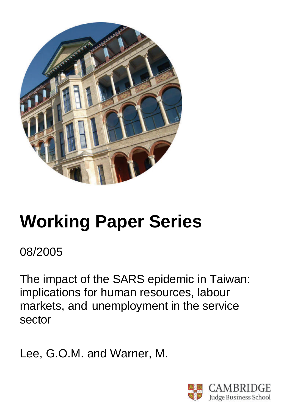

# **Working Paper Series**

08/2005

The impact of the SARS epidemic in Taiwan: implications for human resources, labour markets, and unemployment in the service sector

Lee, G.O.M. and Warner, M.

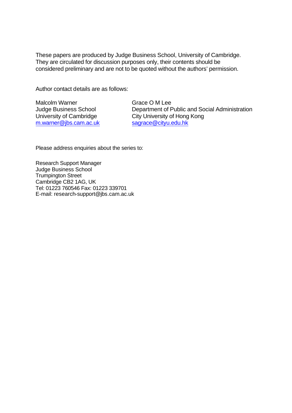These papers are produced by Judge Business School, University of Cambridge. They are circulated for discussion purposes only, their contents should be considered preliminary and are not to be quoted without the authors' permission.

Author contact details are as follows:

Malcolm Warner Judge Business School University of Cambridge m.warner@jbs.cam.ac.uk Grace O M Lee Department of Public and Social Administration City University of Hong Kong sagrace@cityu.edu.hk

Please address enquiries about the series to:

Research Support Manager Judge Business School Trumpington Street Cambridge CB2 1AG, UK Tel: 01223 760546 Fax: 01223 339701 E-mail: research-support@jbs.cam.ac.uk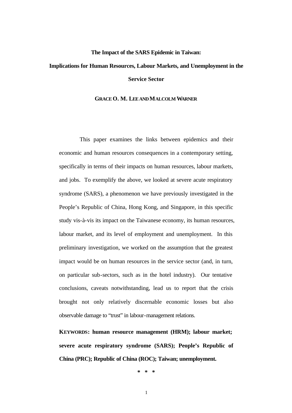## **The Impact of the SARS Epidemic in Taiwan:**

# **Implications for Human Resources, Labour Markets, and Unemployment in the Service Sector**

### **GRACE O. M. LEE AND MALCOLM WARNER**

This paper examines the links between epidemics and their economic and human resources consequences in a contemporary setting, specifically in terms of their impacts on human resources, labour markets, and jobs. To exemplify the above, we looked at severe acute respiratory syndrome (SARS), a phenomenon we have previously investigated in the People's Republic of China, Hong Kong, and Singapore, in this specific study vis-à-vis its impact on the Taiwanese economy, its human resources, labour market, and its level of employment and unemployment. In this preliminary investigation, we worked on the assumption that the greatest impact would be on human resources in the service sector (and, in turn, on particular sub-sectors, such as in the hotel industry). Our tentative conclusions, caveats notwithstanding, lead us to report that the crisis brought not only relatively discernable economic losses but also observable damage to "trust" in labour-management relations.

**KEYWORDS: human resource management (HRM); labour market; severe acute respiratory syndrome (SARS); People's Republic of China (PRC); Republic of China (ROC); Taiwan; unemployment.**

**\* \* \***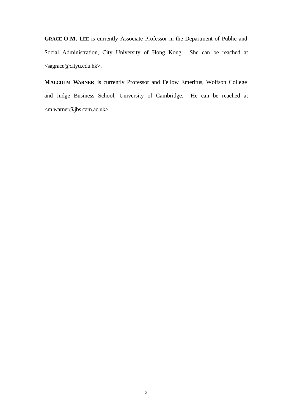GRACE O.M. LEE is currently Associate Professor in the Department of Public and Social Administration, City University of Hong Kong. She can be reached at <sagrace@cityu.edu.hk>.

**MALCOLM WARNER** is currently Professor and Fellow Emeritus, Wolfson College and Judge Business School, University of Cambridge. He can be reached at <m.warner@jbs.cam.ac.uk>.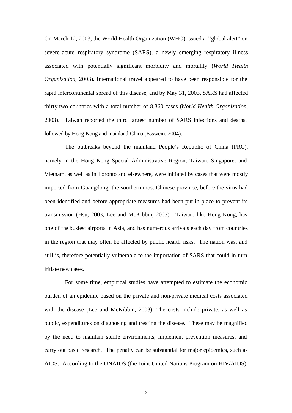On March 12, 2003, the World Health Organization (WHO) issued a ''global alert" on severe acute respiratory syndrome (SARS), a newly emerging respiratory illness associated with potentially significant morbidity and mortality (*World Health Organization*, 2003). International travel appeared to have been responsible for the rapid intercontinental spread of this disease, and by May 31, 2003, SARS had affected thirty-two countries with a total number of 8,360 cases (*World Health Organization*, 2003). Taiwan reported the third largest number of SARS infections and deaths, followed by Hong Kong and mainland China (Esswein, 2004).

The outbreaks beyond the mainland People's Republic of China (PRC), namely in the Hong Kong Special Administrative Region, Taiwan, Singapore, and Vietnam, as well as in Toronto and elsewhere, were initiated by cases that were mostly imported from Guangdong, the southern-most Chinese province, before the virus had been identified and before appropriate measures had been put in place to prevent its transmission (Hsu, 2003; Lee and McKibbin, 2003). Taiwan, like Hong Kong, has one of the busiest airports in Asia, and has numerous arrivals each day from countries in the region that may often be affected by public health risks. The nation was, and still is, therefore potentially vulnerable to the importation of SARS that could in turn initiate new cases.

For some time, empirical studies have attempted to estimate the economic burden of an epidemic based on the private and non-private medical costs associated with the disease (Lee and McKibbin, 2003). The costs include private, as well as public, expenditures on diagnosing and treating the disease. These may be magnified by the need to maintain sterile environments, implement prevention measures, and carry out basic research. The penalty can be substantial for major epidemics, such as AIDS. According to the UNAIDS (the Joint United Nations Program on HIV/AIDS),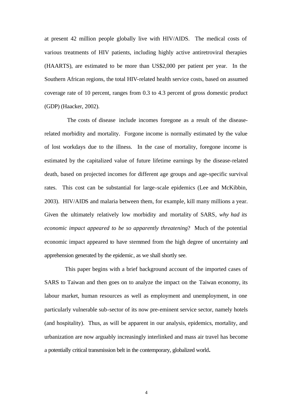at present 42 million people globally live with HIV/AIDS. The medical costs of various treatments of HIV patients, including highly active antiretroviral therapies (HAARTS), are estimated to be more than US\$2,000 per patient per year. In the Southern African regions, the total HIV-related health service costs, based on assumed coverage rate of 10 percent, ranges from 0.3 to 4.3 percent of gross domestic product (GDP) (Haacker, 2002).

 The costs of disease include incomes foregone as a result of the diseaserelated morbidity and mortality. Forgone income is normally estimated by the value of lost workdays due to the illness. In the case of mortality, foregone income is estimated by the capitalized value of future lifetime earnings by the disease-related death, based on projected incomes for different age groups and age-specific survival rates. This cost can be substantial for large-scale epidemics (Lee and McKibbin, 2003). HIV/AIDS and malaria between them, for example, kill many millions a year. Given the ultimately relatively low morbidity and mortality of SARS, *why had its economic impact appeared to be so apparently threatening*? Much of the potential economic impact appeared to have stemmed from the high degree of uncertainty and apprehension generated by the epidemic, as we shall shortly see.

This paper begins with a brief background account of the imported cases of SARS to Taiwan and then goes on to analyze the impact on the Taiwan economy, its labour market, human resources as well as employment and unemployment, in one particularly vulnerable sub-sector of its now pre-eminent service sector, namely hotels (and hospitality). Thus, as will be apparent in our analysis, epidemics, mortality, and urbanization are now arguably increasingly interlinked and mass air travel has become a potentially critical transmission belt in the contemporary, globalized world**.**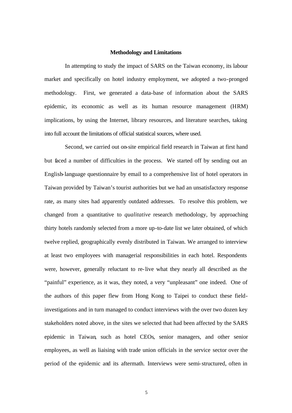#### **Methodology and Limitations**

In attempting to study the impact of SARS on the Taiwan economy, its labour market and specifically on hotel industry employment, we adopted a two-pronged methodology. First, we generated a data-base of information about the SARS epidemic, its economic as well as its human resource management (HRM) implications, by using the Internet, library resources, and literature searches, taking into full account the limitations of official statistical sources, where used.

Second, we carried out on-site empirical field research in Taiwan at first hand but faced a number of difficulties in the process. We started off by sending out an English-language questionnaire by email to a comprehensive list of hotel operators in Taiwan provided by Taiwan's tourist authorities but we had an unsatisfactory response rate, as many sites had apparently outdated addresses. To resolve this problem, we changed from a quantitative to *qualitative* research methodology, by approaching thirty hotels randomly selected from a more up-to-date list we later obtained, of which twelve replied, geographically evenly distributed in Taiwan. We arranged to interview at least two employees with managerial responsibilities in each hotel. Respondents were, however, generally reluctant to re-live what they nearly all described as the "painful" experience, as it was, they noted, a very "unpleasant" one indeed. One of the authors of this paper flew from Hong Kong to Taipei to conduct these fieldinvestigations and in turn managed to conduct interviews with the over two dozen key stakeholders noted above, in the sites we selected that had been affected by the SARS epidemic in Taiwan, such as hotel CEOs, senior managers, and other senior employees, as well as liaising with trade union officials in the service sector over the period of the epidemic and its aftermath. Interviews were semi-structured, often in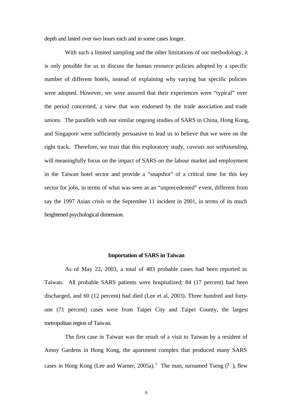depth and lasted over two hours each and in some cases longer.

With such a limited sampling and the other limitations of our methodology, it is only possible for us to discuss the human resource policies adopted by a specific number of different hotels, instead of explaining why varying but specific policies were adopted. However, we were assured that their experiences were "typical" over the period concerned, a view that was endorsed by the trade association and trade unions. The parallels with our similar ongoing studies of SARS in China, Hong Kong, and Singapore were sufficiently persuasive to lead us to believe that we were on the right track. Therefore, we trust that this exploratory study, *caveats not withstanding*, will meaningfully focus on the impact of SARS on the labour market and employment in the Taiwan hotel sector and provide a "snapshot" of a critical time for this key sector for jobs, in terms of what was seen as an "unprecedented" event, different from say the 1997 Asian crisis or the September 11 incident in 2001, in terms of its much heightened psychological dimension.

#### **Importation of SARS in Taiwan**

As of May 22, 2003, a total of 483 probable cases had been reported in Taiwan. All probable SARS patients were hospitalized; 84 (17 percent) had been discharged, and 60 (12 percent) had died (Lee et al, 2003). Three hundred and fortyone (71 percent) cases were from Taipei City and Taipei County, the largest metropolitan region of Taiwan.

The first case in Taiwan was the result of a visit to Taiwan by a resident of Amoy Gardens in Hong Kong, the apartment complex that produced many SARS cases in Hong Kong (Lee and Warner, 2005a).<sup>1</sup> The man, surnamed Tseng  $(?)$ , flew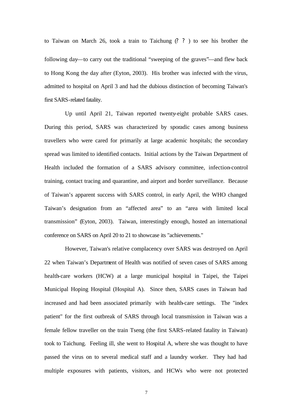to Taiwan on March 26, took a train to Taichung (? ? ) to see his brother the following day—to carry out the traditional "sweeping of the graves"—and flew back to Hong Kong the day after (Eyton, 2003). His brother was infected with the virus, admitted to hospital on April 3 and had the dubious distinction of becoming Taiwan's first SARS-related fatality.

Up until April 21, Taiwan reported twenty-eight probable SARS cases. During this period, SARS was characterized by sporadic cases among business travellers who were cared for primarily at large academic hospitals; the secondary spread was limited to identified contacts. Initial actions by the Taiwan Department of Health included the formation of a SARS advisory committee, infection-control training, contact tracing and quarantine, and airport and border surveillance. Because of Taiwan's apparent success with SARS control, in early April, the WHO changed Taiwan's designation from an "affected area" to an "area with limited local transmission" (Eyton, 2003). Taiwan, interestingly enough, hosted an international conference on SARS on April 20 to 21 to showcase its "achievements."

However, Taiwan's relative complacency over SARS was destroyed on April 22 when Taiwan's Department of Health was notified of seven cases of SARS among health-care workers (HCW) at a large municipal hospital in Taipei, the Taipei Municipal Hoping Hospital (Hospital A). Since then, SARS cases in Taiwan had increased and had been associated primarily with health-care settings. The "index patient" for the first outbreak of SARS through local transmission in Taiwan was a female fellow traveller on the train Tseng (the first SARS-related fatality in Taiwan) took to Taichung. Feeling ill, she went to Hospital A, where she was thought to have passed the virus on to several medical staff and a laundry worker. They had had multiple exposures with patients, visitors, and HCWs who were not protected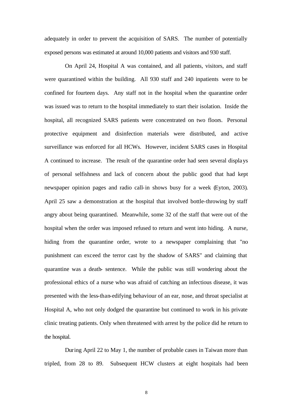adequately in order to prevent the acquisition of SARS. The number of potentially exposed persons was estimated at around 10,000 patients and visitors and 930 staff.

On April 24, Hospital A was contained, and all patients, visitors, and staff were quarantined within the building. All 930 staff and 240 inpatients were to be confined for fourteen days. Any staff not in the hospital when the quarantine order was issued was to return to the hospital immediately to start their isolation. Inside the hospital, all recognized SARS patients were concentrated on two floors. Personal protective equipment and disinfection materials were distributed, and active surveillance was enforced for all HCWs. However, incident SARS cases in Hospital A continued to increase. The result of the quarantine order had seen several displays of personal selfishness and lack of concern about the public good that had kept newspaper opinion pages and radio call-in shows busy for a week (Eyton, 2003). April 25 saw a demonstration at the hospital that involved bottle-throwing by staff angry about being quarantined. Meanwhile, some 32 of the staff that were out of the hospital when the order was imposed refused to return and went into hiding. A nurse, hiding from the quarantine order, wrote to a newspaper complaining that "no punishment can exceed the terror cast by the shadow of SARS" and claiming that quarantine was a death- sentence. While the public was still wondering about the professional ethics of a nurse who was afraid of catching an infectious disease, it was presented with the less-than-edifying behaviour of an ear, nose, and throat specialist at Hospital A, who not only dodged the quarantine but continued to work in his private clinic treating patients. Only when threatened with arrest by the police did he return to the hospital.

During April 22 to May 1, the number of probable cases in Taiwan more than tripled, from 28 to 89. Subsequent HCW clusters at eight hospitals had been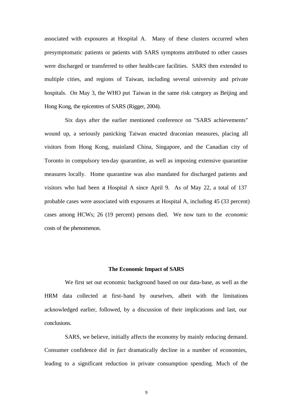associated with exposures at Hospital A. Many of these clusters occurred when presymptomatic patients or patients with SARS symptoms attributed to other causes were discharged or transferred to other health-care facilities. SARS then extended to multiple cities, and regions of Taiwan, including several university and private hospitals. On May 3, the WHO put Taiwan in the same risk category as Beijing and Hong Kong, the epicentres of SARS (Rigger, 2004).

Six days after the earlier mentioned conference on "SARS achievements" wound up, a seriously panicking Taiwan enacted draconian measures, placing all visitors from Hong Kong, mainland China, Singapore, and the Canadian city of Toronto in compulsory ten-day quarantine, as well as imposing extensive quarantine measures locally. Home quarantine was also mandated for discharged patients and visitors who had been at Hospital A since April 9. As of May 22, a total of 137 probable cases were associated with exposures at Hospital A, including 45 (33 percent) cases among HCWs; 26 (19 percent) persons died. We now turn to the *economic* costs of the phenomenon.

#### **The Economic Impact of SARS**

We first set out economic background based on our data-base, as well as the HRM data collected at first-hand by ourselves, albeit with the limitations acknowledged earlier, followed, by a discussion of their implications and last, our conclusions.

SARS, we believe, initially affects the economy by mainly reducing demand. Consumer confidence did *in fact* dramatically decline in a number of economies, leading to a significant reduction in private consumption spending. Much of the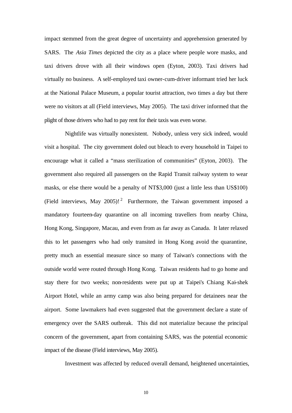impact stemmed from the great degree of uncertainty and apprehension generated by SARS. The *Asia Times* depicted the city as a place where people wore masks, and taxi drivers drove with all their windows open (Eyton, 2003). Taxi drivers had virtually no business. A self-employed taxi owner-cum-driver informant tried her luck at the National Palace Museum, a popular tourist attraction, two times a day but there were no visitors at all (Field interviews, May 2005). The taxi driver informed that the plight of those drivers who had to pay rent for their taxis was even worse.

Nightlife was virtually nonexistent. Nobody, unless very sick indeed, would visit a hospital. The city government doled out bleach to every household in Taipei to encourage what it called a "mass sterilization of communities" (Eyton, 2003). The government also required all passengers on the Rapid Transit railway system to wear masks, or else there would be a penalty of NT\$3,000 (just a little less than US\$100) (Field interviews, May 2005)!<sup>2</sup> Furthermore, the Taiwan government imposed a mandatory fourteen-day quarantine on all incoming travellers from nearby China, Hong Kong, Singapore, Macau, and even from as far away as Canada. It later relaxed this to let passengers who had only transited in Hong Kong avoid the quarantine, pretty much an essential measure since so many of Taiwan's connections with the outside world were routed through Hong Kong. Taiwan residents had to go home and stay there for two weeks; non-residents were put up at Taipei's Chiang Kai-shek Airport Hotel, while an army camp was also being prepared for detainees near the airport. Some lawmakers had even suggested that the government declare a state of emergency over the SARS outbreak. This did not materialize because the principal concern of the government, apart from containing SARS, was the potential economic impact of the disease (Field interviews, May 2005).

Investment was affected by reduced overall demand, heightened uncertainties,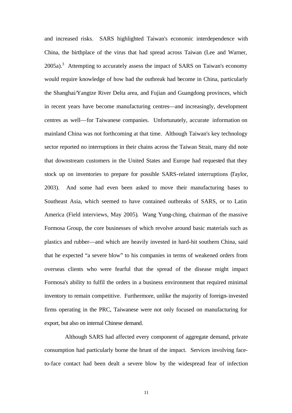and increased risks. SARS highlighted Taiwan's economic interdependence with China, the birthplace of the virus that had spread across Taiwan (Lee and Warner,  $2005a$ ).<sup>3</sup> Attempting to accurately assess the impact of SARS on Taiwan's economy would require knowledge of how bad the outbreak had become in China, particularly the Shanghai/Yangtze River Delta area, and Fujian and Guangdong provinces, which in recent years have become manufacturing centres—and increasingly, development centres as well—for Taiwanese companies. Unfortunately, accurate information on mainland China was not forthcoming at that time. Although Taiwan's key technology sector reported no interruptions in their chains across the Taiwan Strait, many did note that downstream customers in the United States and Europe had requested that they stock up on inventories to prepare for possible SARS-related interruptions (Taylor, 2003). And some had even been asked to move their manufacturing bases to Southeast Asia, which seemed to have contained outbreaks of SARS, or to Latin America (Field interviews, May 2005). Wang Yung-ching, chairman of the massive Formosa Group, the core businesses of which revolve around basic materials such as plastics and rubber—and which are heavily invested in hard-hit southern China, said that he expected "a severe blow" to his companies in terms of weakened orders from overseas clients who were fearful that the spread of the disease might impact Formosa's ability to fulfil the orders in a business environment that required minimal inventory to remain competitive. Furthermore, unlike the majority of foreign-invested firms operating in the PRC, Taiwanese were not only focused on manufacturing for export, but also on internal Chinese demand.

Although SARS had affected every component of aggregate demand, private consumption had particularly borne the brunt of the impact. Services involving faceto-face contact had been dealt a severe blow by the widespread fear of infection

11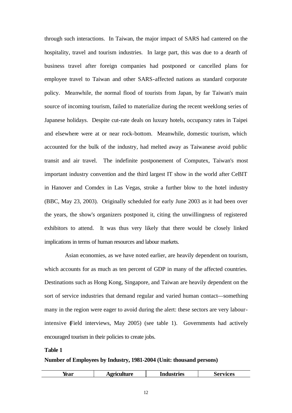through such interactions. In Taiwan, the major impact of SARS had cantered on the hospitality, travel and tourism industries. In large part, this was due to a dearth of business travel after foreign companies had postponed or cancelled plans for employee travel to Taiwan and other SARS-affected nations as standard corporate policy. Meanwhile, the normal flood of tourists from Japan, by far Taiwan's main source of incoming tourism, failed to materialize during the recent weeklong series of Japanese holidays. Despite cut-rate deals on luxury hotels, occupancy rates in Taipei and elsewhere were at or near rock-bottom. Meanwhile, domestic tourism, which accounted for the bulk of the industry, had melted away as Taiwanese avoid public transit and air travel. The indefinite postponement of Computex, Taiwan's most important industry convention and the third largest IT show in the world after CeBIT in Hanover and Comdex in Las Vegas, stroke a further blow to the hotel industry (BBC, May 23, 2003). Originally scheduled for early June 2003 as it had been over the years, the show's organizers postponed it, citing the unwillingness of registered exhibitors to attend. It was thus very likely that there would be closely linked implications in terms of human resources and labour markets.

Asian economies, as we have noted earlier, are heavily dependent on tourism, which accounts for as much as ten percent of GDP in many of the affected countries. Destinations such as Hong Kong, Singapore, and Taiwan are heavily dependent on the sort of service industries that demand regular and varied human contact—something many in the region were eager to avoid during the alert: these sectors are very labourintensive (Field interviews, May 2005) (see table 1). Governments had actively encouraged tourism in their policies to create jobs.

# **Table 1**

# **Number of Employees by Industry, 1981-2004 (Unit: thousand persons)**

| rear | <b>\griculture</b> | Industries | ervices<br>.307 |
|------|--------------------|------------|-----------------|
|      |                    |            |                 |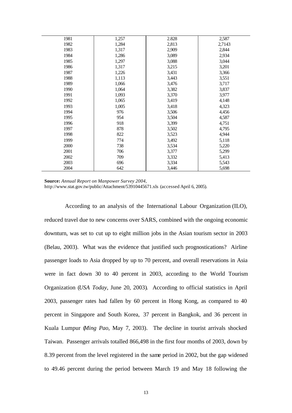| 1981 | 1,257 | 2.828 | 2,587  |
|------|-------|-------|--------|
| 1982 | 1,284 | 2,813 | 2,7143 |
| 1983 | 1,317 | 2,909 | 2,844  |
| 1984 | 1,286 | 3,089 | 2,934  |
| 1985 | 1,297 | 3,088 | 3,044  |
| 1986 | 1,317 | 3,215 | 3,201  |
| 1987 | 1,226 | 3,431 | 3,366  |
| 1988 | 1,113 | 3,443 | 3,551  |
| 1989 | 1,066 | 3,476 | 3,717  |
| 1990 | 1,064 | 3,382 | 3,837  |
| 1991 | 1,093 | 3,370 | 3,977  |
| 1992 | 1,065 | 3,419 | 4,148  |
| 1993 | 1,005 | 3,418 | 4,323  |
| 1994 | 976   | 3,506 | 4,456  |
| 1995 | 954   | 3,504 | 4,587  |
| 1996 | 918   | 3,399 | 4,751  |
| 1997 | 878   | 3,502 | 4,795  |
| 1998 | 822   | 3,523 | 4,944  |
| 1999 | 774   | 3,492 | 5,118  |
| 2000 | 738   | 3,534 | 5,220  |
| 2001 | 706   | 3,377 | 5,299  |
| 2002 | 709   | 3,332 | 5,413  |
| 2003 | 696   | 3,334 | 5,543  |
| 2004 | 642   | 3,446 | 5,698  |

**Source:** *Annual Report on Manpower Survey 2004,* 

http://www.stat.gov.tw/public/Attachment/53910445671.xls (accessed April 6, 2005).

According to an analysis of the International Labour Organization (ILO), reduced travel due to new concerns over SARS, combined with the ongoing economic downturn, was set to cut up to eight million jobs in the Asian tourism sector in 2003 (Belau, 2003). What was the evidence that justified such prognostications? Airline passenger loads to Asia dropped by up to 70 percent, and overall reservations in Asia were in fact down 30 to 40 percent in 2003, according to the World Tourism Organization (*USA Today*, June 20, 2003). According to official statistics in April 2003, passenger rates had fallen by 60 percent in Hong Kong, as compared to 40 percent in Singapore and South Korea, 37 percent in Bangkok, and 36 percent in Kuala Lumpur (*Ming Pao*, May 7, 2003). The decline in tourist arrivals shocked Taiwan. Passenger arrivals totalled 866,498 in the first four months of 2003, down by 8.39 percent from the level registered in the same period in 2002, but the gap widened to 49.46 percent during the period between March 19 and May 18 following the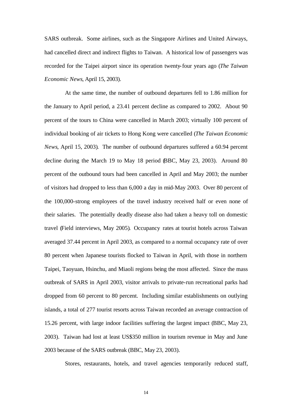SARS outbreak. Some airlines, such as the Singapore Airlines and United Airways, had cancelled direct and indirect flights to Taiwan. A historical low of passengers was recorded for the Taipei airport since its operation twenty-four years ago (*The Taiwan Economic News*, April 15, 2003).

At the same time, the number of outbound departures fell to 1.86 million for the January to April period, a 23.41 percent decline as compared to 2002. About 90 percent of the tours to China were cancelled in March 2003; virtually 100 percent of individual booking of air tickets to Hong Kong were cancelled (*The Taiwan Economic News*, April 15, 2003). The number of outbound departures suffered a 60.94 percent decline during the March 19 to May 18 period (BBC, May 23, 2003). Around 80 percent of the outbound tours had been cancelled in April and May 2003; the number of visitors had dropped to less than 6,000 a day in mid-May 2003. Over 80 percent of the 100,000-strong employees of the travel industry received half or even none of their salaries. The potentially deadly disease also had taken a heavy toll on domestic travel (Field interviews, May 2005). Occupancy rates at tourist hotels across Taiwan averaged 37.44 percent in April 2003, as compared to a normal occupancy rate of over 80 percent when Japanese tourists flocked to Taiwan in April, with those in northern Taipei, Taoyuan, Hsinchu, and Miaoli regions being the most affected. Since the mass outbreak of SARS in April 2003, visitor arrivals to private-run recreational parks had dropped from 60 percent to 80 percent. Including similar establishments on outlying islands, a total of 277 tourist resorts across Taiwan recorded an average contraction of 15.26 percent, with large indoor facilities suffering the largest impact (BBC, May 23, 2003). Taiwan had lost at least US\$350 million in tourism revenue in May and June 2003 because of the SARS outbreak (BBC, May 23, 2003).

Stores, restaurants, hotels, and travel agencies temporarily reduced staff,

14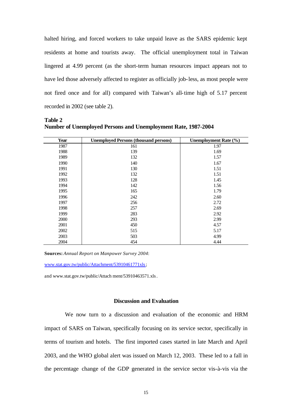halted hiring, and forced workers to take unpaid leave as the SARS epidemic kept residents at home and tourists away. The official unemployment total in Taiwan lingered at 4.99 percent (as the short-term human resources impact appears not to have led those adversely affected to register as officially job-less, as most people were not fired once and for all) compared with Taiwan's all-time high of 5.17 percent recorded in 2002 (see table 2).

| Year | <b>Unemployed Persons (thousand persons)</b> | Unemployment Rate (%) |
|------|----------------------------------------------|-----------------------|
| 1987 | 161                                          | 1.97                  |
| 1988 | 139                                          | 1.69                  |
| 1989 | 132                                          | 1.57                  |
| 1990 | 140                                          | 1.67                  |
| 1991 | 130                                          | 1.51                  |
| 1992 | 132                                          | 1.51                  |
| 1993 | 128                                          | 1.45                  |
| 1994 | 142                                          | 1.56                  |
| 1995 | 165                                          | 1.79                  |
| 1996 | 242                                          | 2.60                  |
| 1997 | 256                                          | 2.72                  |
| 1998 | 257                                          | 2.69                  |
| 1999 | 283                                          | 2.92                  |
| 2000 | 293                                          | 2.99                  |
| 2001 | 450                                          | 4.57                  |
| 2002 | 515                                          | 5.17                  |
| 2003 | 503                                          | 4.99                  |
| 2004 | 454                                          | 4.44                  |

**Table 2 Number of Unemployed Persons and Unemployment Rate, 1987-2004**

**Sources:** *Annual Report on Manpower Survey 2004*:

www.stat.gov.tw/public/Attachment/53910461771xls;

and www.stat.gov.tw/public/Attach ment/53910463571.xls.

### **Discussion and Evaluation**

We now turn to a discussion and evaluation of the economic and HRM impact of SARS on Taiwan, specifically focusing on its service sector, specifically in terms of tourism and hotels. The first imported cases started in late March and April 2003, and the WHO global alert was issued on March 12, 2003. These led to a fall in the percentage change of the GDP generated in the service sector vis-à-vis via the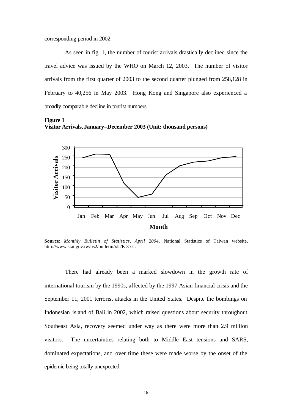corresponding period in 2002.

As seen in fig. 1, the number of tourist arrivals drastically declined since the travel advice was issued by the WHO on March 12, 2003. The number of visitor arrivals from the first quarter of 2003 to the second quarter plunged from 258,128 in February to 40,256 in May 2003. Hong Kong and Singapore also experienced a broadly comparable decline in tourist numbers.

**Figure 1 Visitor Arrivals, January–December 2003 (Unit: thousand persons)**



**Source:** *Monthly Bulletin of Statistics, April 2004*, National Statistics of Taiwan website, http://www.stat.gov.tw/bs2/bulletin/xls/K-3.xls.

There had already been a marked slowdown in the growth rate of international tourism by the 1990s, affected by the 1997 Asian financial crisis and the September 11, 2001 terrorist attacks in the United States. Despite the bombings on Indonesian island of Bali in 2002, which raised questions about security throughout Southeast Asia, recovery seemed under way as there were more than 2.9 million visitors. The uncertainties relating both to Middle East tensions and SARS, dominated expectations, and over time these were made worse by the onset of the epidemic being totally unexpected.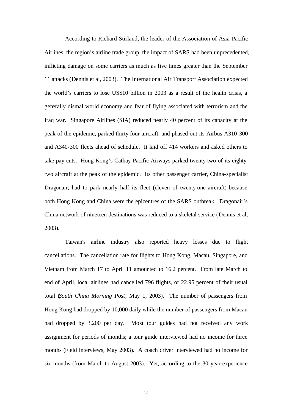According to Richard Stirland, the leader of the Association of Asia-Pacific Airlines, the region's airline trade group, the impact of SARS had been unprecedented, inflicting damage on some carriers as much as five times greater than the September 11 attacks (Dennis et al, 2003). The International Air Transport Association expected the world's carriers to lose US\$10 billion in 2003 as a result of the health crisis, a generally dismal world economy and fear of flying associated with terrorism and the Iraq war. Singapore Airlines (SIA) reduced nearly 40 percent of its capacity at the peak of the epidemic, parked thirty-four aircraft, and phased out its Airbus A310-300 and A340-300 fleets ahead of schedule. It laid off 414 workers and asked others to take pay cuts. Hong Kong's Cathay Pacific Airways parked twenty-two of its eightytwo aircraft at the peak of the epidemic. Its other passenger carrier, China-specialist Dragonair, had to park nearly half its fleet (eleven of twenty-one aircraft) because both Hong Kong and China were the epicentres of the SARS outbreak. Dragonair's China network of nineteen destinations was reduced to a skeletal service (Dennis et al, 2003).

Taiwan's airline industry also reported heavy losses due to flight cancellations. The cancellation rate for flights to Hong Kong, Macau, Singapore, and Vietnam from March 17 to April 11 amounted to 16.2 percent. From late March to end of April, local airlines had cancelled 796 flights, or 22.95 percent of their usual total (*South China Morning Post*, May 1, 2003). The number of passengers from Hong Kong had dropped by 10,000 daily while the number of passengers from Macau had dropped by 3,200 per day. Most tour guides had not received any work assignment for periods of months; a tour guide interviewed had no income for three months (Field interviews, May 2003). A coach driver interviewed had no income for *six* months (from March to August 2003). Yet, according to the 30-year experience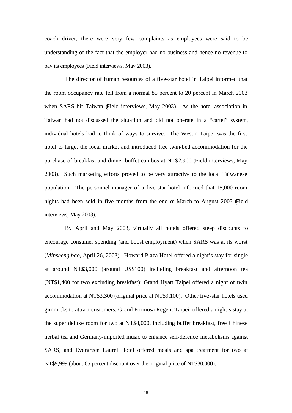coach driver, there were very few complaints as employees were said to be understanding of the fact that the employer had no business and hence no revenue to pay its employees (Field interviews, May 2003).

The director of human resources of a five-star hotel in Taipei informed that the room occupancy rate fell from a normal 85 percent to 20 percent in March 2003 when SARS hit Taiwan (Field interviews, May 2003). As the hotel association in Taiwan had not discussed the situation and did not operate in a "cartel" system, individual hotels had to think of ways to survive. The Westin Taipei was the first hotel to target the local market and introduced free twin-bed accommodation for the purchase of breakfast and dinner buffet combos at NT\$2,900 (Field interviews, May 2003). Such marketing efforts proved to be very attractive to the local Taiwanese population. The personnel manager of a five-star hotel informed that 15,000 room nights had been sold in five months from the end of March to August 2003 (Field interviews, May 2003).

By April and May 2003, virtually all hotels offered steep discounts to encourage consumer spending (and boost employment) when SARS was at its worst (*Minsheng bao*, April 26, 2003). Howard Plaza Hotel offered a night's stay for single at around NT\$3,000 (around US\$100) including breakfast and afternoon tea (NT\$1,400 for two excluding breakfast); Grand Hyatt Taipei offered a night of twin accommodation at NT\$3,300 (original price at NT\$9,100). Other five-star hotels used gimmicks to attract customers: Grand Formosa Regent Taipei offered a night's stay at the super deluxe room for two at NT\$4,000, including buffet breakfast, free Chinese herbal tea and Germany-imported music to enhance self-defence metabolisms against SARS; and Evergreen Laurel Hotel offered meals and spa treatment for two at NT\$9,999 (about 65 percent discount over the original price of NT\$30,000).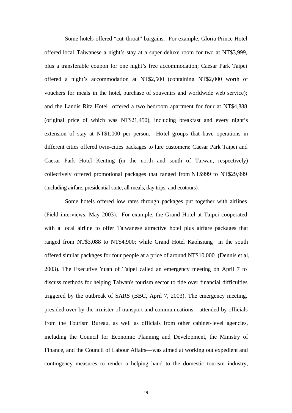Some hotels offered "cut-throat" bargains. For example, Gloria Prince Hotel offered local Taiwanese a night's stay at a super deluxe room for two at NT\$3,999, plus a transferable coupon for one night's free accommodation; Caesar Park Taipei offered a night's accommodation at NT\$2,500 (containing NT\$2,000 worth of vouchers for meals in the hotel, purchase of souvenirs and worldwide web service); and the Landis Ritz Hotel offered a two bedroom apartment for four at NT\$4,888 (original price of which was NT\$21,450), including breakfast and every night's extension of stay at NT\$1,000 per person. Hotel groups that have operations in different cities offered twin-cities packages to lure customers: Caesar Park Taipei and Caesar Park Hotel Kenting (in the north and south of Taiwan, respectively) collectively offered promotional packages that ranged from NT\$999 to NT\$29,999 (including airfare, presidential suite, all meals, day trips, and ecotours).

Some hotels offered low rates through packages put together with airlines (Field interviews, May 2003). For example, the Grand Hotel at Taipei cooperated with a local airline to offer Taiwanese attractive hotel plus airfare packages that ranged from NT\$3,088 to NT\$4,900; while Grand Hotel Kaohsiung in the south offered similar packages for four people at a price of around NT\$10,000 (Dennis et al, 2003). The Executive Yuan of Taipei called an emergency meeting on April 7 to discuss methods for helping Taiwan's tourism sector to tide over financial difficulties triggered by the outbreak of SARS (BBC, April 7, 2003). The emergency meeting, presided over by the minister of transport and communications—attended by officials from the Tourism Bureau, as well as officials from other cabinet-level agencies, including the Council for Economic Planning and Development, the Ministry of Finance, and the Council of Labour Affairs—was aimed at working out expedient and contingency measures to render a helping hand to the domestic tourism industry,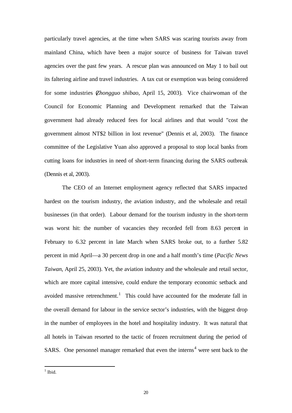particularly travel agencies, at the time when SARS was scaring tourists away from mainland China, which have been a major source of business for Taiwan travel agencies over the past few years. A rescue plan was announced on May 1 to bail out its faltering airline and travel industries. A tax cut or exemption was being considered for some industries (*Zhongguo shibao*, April 15, 2003). Vice chairwoman of the Council for Economic Planning and Development remarked that the Taiwan government had already reduced fees for local airlines and that would "cost the government almost NT\$2 billion in lost revenue" (Dennis et al, 2003). The finance committee of the Legislative Yuan also approved a proposal to stop local banks from cutting loans for industries in need of short-term financing during the SARS outbreak (Dennis et al, 2003).

The CEO of an Internet employment agency reflected that SARS impacted hardest on the tourism industry, the aviation industry, and the wholesale and retail businesses (in that order). Labour demand for the tourism industry in the short-term was worst hit: the number of vacancies they recorded fell from 8.63 percent in February to 6.32 percent in late March when SARS broke out, to a further 5.82 percent in mid April—a 30 percent drop in one and a half month's time (*Pacific News Taiwan*, April 25, 2003). Yet, the aviation industry and the wholesale and retail sector, which are more capital intensive, could endure the temporary economic setback and avoided massive retrenchment.<sup>1</sup> This could have accounted for the moderate fall in the overall demand for labour in the service sector's industries, with the biggest drop in the number of employees in the hotel and hospitality industry. It was natural that all hotels in Taiwan resorted to the tactic of frozen recruitment during the period of SARS. One personnel manager remarked that even the interns<sup>4</sup> were sent back to the

 $\frac{1}{1}$  Ibid.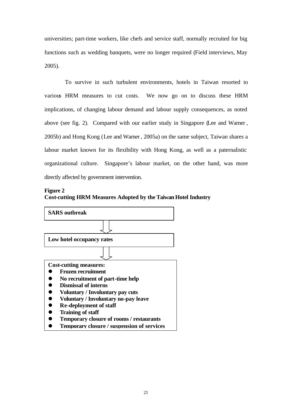universities; part-time workers, like chefs and service staff, normally recruited for big functions such as wedding banquets, were no longer required (Field interviews, May 2005).

To survive in such turbulent environments, hotels in Taiwan resorted to various HRM measures to cut costs. We now go on to discuss these HRM implications, of changing labour demand and labour supply consequences, as noted above (see fig. 2). Compared with our earlier study in Singapore (Lee and Warner , 2005b) and Hong Kong (Lee and Warner, 2005a) on the same subject, Taiwan shares a labour market known for its flexibility with Hong Kong, as well as a paternalistic organizational culture. Singapore's labour market, on the other hand, was more directly affected by government intervention.



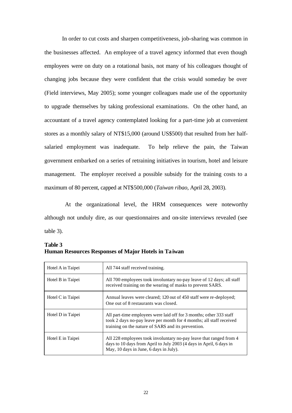In order to cut costs and sharpen competitiveness, job-sharing was common in the businesses affected. An employee of a travel agency informed that even though employees were on duty on a rotational basis, not many of his colleagues thought of changing jobs because they were confident that the crisis would someday be over (Field interviews, May 2005); some younger colleagues made use of the opportunity to upgrade themselves by taking professional examinations. On the other hand, an accountant of a travel agency contemplated looking for a part-time job at convenient stores as a monthly salary of NT\$15,000 (around US\$500) that resulted from her halfsalaried employment was inadequate. To help relieve the pain, the Taiwan government embarked on a series of retraining initiatives in tourism, hotel and leisure management. The employer received a possible subsidy for the training costs to a maximum of 80 percent, capped at NT\$500,000 (*Taiwan ribao*, April 28, 2003).

At the organizational level, the HRM consequences were noteworthy although not unduly dire, as our questionnaires and on-site interviews revealed (see table 3).

| Hotel A in Taipei | All 744 staff received training.                                                                                                                                                                 |
|-------------------|--------------------------------------------------------------------------------------------------------------------------------------------------------------------------------------------------|
| Hotel B in Taipei | All 700 employees took involuntary no-pay leave of 12 days; all staff<br>received training on the wearing of masks to prevent SARS.                                                              |
| Hotel C in Taipei | Annual leaves were cleared; 120 out of 450 staff were re-deployed;<br>One out of 8 restaurants was closed.                                                                                       |
| Hotel D in Taipei | All part-time employees were laid off for 3 months; other 333 staff<br>took 2 days no-pay leave per month for 4 months; all staff received<br>training on the nature of SARS and its prevention. |
| Hotel E in Taipei | All 228 employees took involuntary no-pay leave that ranged from 4<br>days to 10 days from April to July 2003 (4 days in April, 6 days in<br>May, 10 days in June, 6 days in July).              |

**Table 3 Human Resources Responses of Major Hotels in Taiwan**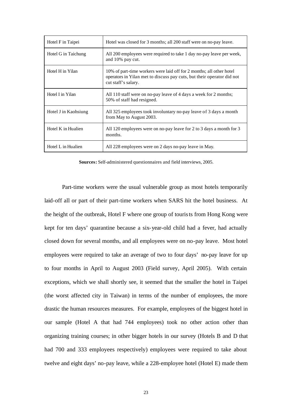| Hotel F in Taipei    | Hotel was closed for 3 months; all 200 staff were on no-pay leave.                                                                                                    |
|----------------------|-----------------------------------------------------------------------------------------------------------------------------------------------------------------------|
| Hotel G in Taichung  | All 200 employees were required to take 1 day no-pay leave per week,<br>and 10% pay cut.                                                                              |
| Hotel H in Yilan     | 10% of part-time workers were laid off for 2 months; all other hotel<br>operators in Yilan met to discuss pay cuts, but their operator did not<br>cut staff's salary. |
| Hotel I in Yilan     | All 110 staff were on no-pay leave of 4 days a week for 2 months;<br>50% of staff had resigned.                                                                       |
| Hotel J in Kaohsiung | All 325 employees took involuntary no-pay leave of 3 days a month<br>from May to August 2003.                                                                         |
| Hotel K in Hualien   | All 120 employees were on no-pay leave for 2 to 3 days a month for 3<br>months.                                                                                       |
| Hotel L in Hualien   | All 228 employees were on 2 days no-pay leave in May.                                                                                                                 |

**Sources:** Self-administered questionnaires and field interviews, 2005.

Part-time workers were the usual vulnerable group as most hotels temporarily laid-off all or part of their part-time workers when SARS hit the hotel business. At the height of the outbreak, Hotel F where one group of tourists from Hong Kong were kept for ten days' quarantine because a six-year-old child had a fever, had actually closed down for several months, and all employees were on no-pay leave. Most hotel employees were required to take an average of two to four days' no-pay leave for up to four months in April to August 2003 (Field survey, April 2005). With certain exceptions, which we shall shortly see, it seemed that the smaller the hotel in Taipei (the worst affected city in Taiwan) in terms of the number of employees, the more drastic the human resources measures. For example, employees of the biggest hotel in our sample (Hotel A that had 744 employees) took no other action other than organizing training courses; in other bigger hotels in our survey (Hotels B and D that had 700 and 333 employees respectively) employees were required to take about twelve and eight days' no-pay leave, while a 228-employee hotel (Hotel E) made them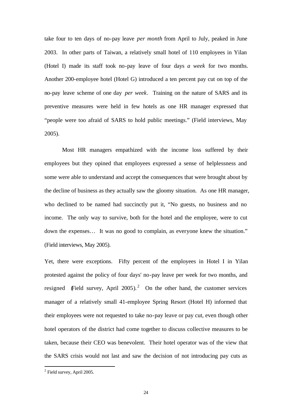take four to ten days of no-pay leave *per month* from April to July, peaked in June 2003. In other parts of Taiwan, a relatively small hotel of 110 employees in Yilan (Hotel I) made its staff took no-pay leave of four days *a week* for two months. Another 200-employee hotel (Hotel G) introduced a ten percent pay cut on top of the no-pay leave scheme of one day *per week*. Training on the nature of SARS and its preventive measures were held in few hotels as one HR manager expressed that "people were too afraid of SARS to hold public meetings." (Field interviews, May 2005).

Most HR managers empathized with the income loss suffered by their employees but they opined that employees expressed a sense of helplessness and some were able to understand and accept the consequences that were brought about by the decline of business as they actually saw the gloomy situation. As one HR manager, who declined to be named had succinctly put it, "No guests, no business and no income. The only way to survive, both for the hotel and the employee, were to cut down the expenses… It was no good to complain, as everyone knew the situation." (Field interviews, May 2005).

Yet, there were exceptions. Fifty percent of the employees in Hotel I in Yilan protested against the policy of four days' no-pay leave per week for two months, and resigned (Field survey, April 2005).<sup>2</sup> On the other hand, the customer services manager of a relatively small 41-employee Spring Resort (Hotel H) informed that their employees were not requested to take no-pay leave or pay cut, even though other hotel operators of the district had come together to discuss collective measures to be taken, because their CEO was benevolent. Their hotel operator was of the view that the SARS crisis would not last and saw the decision of not introducing pay cuts as

l

 $2$  Field survey, April 2005.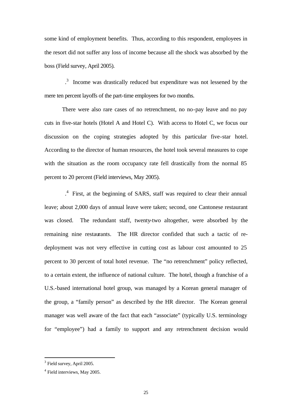some kind of employment benefits. Thus, according to this respondent, employees in the resort did not suffer any loss of income because all the shock was absorbed by the boss (Field survey, April 2005).

. 3 Income was drastically reduced but expenditure was not lessened by the mere ten percent layoffs of the part-time employees for two months.

There were also rare cases of no retrenchment, no no-pay leave and no pay cuts in five-star hotels (Hotel A and Hotel C). With access to Hotel C, we focus our discussion on the coping strategies adopted by this particular five-star hotel. According to the director of human resources, the hotel took several measures to cope with the situation as the room occupancy rate fell drastically from the normal 85 percent to 20 percent (Field interviews, May 2005).

. 4 First, at the beginning of SARS, staff was required to clear their annual leave; about 2,000 days of annual leave were taken; second, one Cantonese restaurant was closed. The redundant staff, twenty-two altogether, were absorbed by the remaining nine restaurants. The HR director confided that such a tactic of redeployment was not very effective in cutting cost as labour cost amounted to 25 percent to 30 percent of total hotel revenue. The "no retrenchment" policy reflected, to a certain extent, the influence of national culture. The hotel, though a franchise of a U.S.-based international hotel group, was managed by a Korean general manager of the group, a "family person" as described by the HR director. The Korean general manager was well aware of the fact that each "associate" (typically U.S. terminology for "employee") had a family to support and any retrenchment decision would

l

<sup>&</sup>lt;sup>3</sup> Field survey, April 2005.

<sup>&</sup>lt;sup>4</sup> Field interviews, May 2005.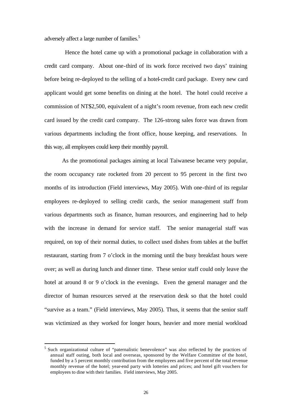adversely affect a large number of families.<sup>5</sup>

Hence the hotel came up with a promotional package in collaboration with a credit card company. About one-third of its work force received two days' training before being re-deployed to the selling of a hotel-credit card package. Every new card applicant would get some benefits on dining at the hotel. The hotel could receive a commission of NT\$2,500, equivalent of a night's room revenue, from each new credit card issued by the credit card company. The 126-strong sales force was drawn from various departments including the front office, house keeping, and reservations. In this way, all employees could keep their monthly payroll.

As the promotional packages aiming at local Taiwanese became very popular, the room occupancy rate rocketed from 20 percent to 95 percent in the first two months of its introduction (Field interviews, May 2005). With one-third of its regular employees re-deployed to selling credit cards, the senior management staff from various departments such as finance, human resources, and engineering had to help with the increase in demand for service staff. The senior managerial staff was required, on top of their normal duties, to collect used dishes from tables at the buffet restaurant, starting from 7 o'clock in the morning until the busy breakfast hours were over; as well as during lunch and dinner time. These senior staff could only leave the hotel at around 8 or 9 o'clock in the evenings. Even the general manager and the director of human resources served at the reservation desk so that the hotel could "survive as a team." (Field interviews, May 2005). Thus, it seems that the senior staff was victimized as they worked for longer hours, heavier and more menial workload

l

<sup>&</sup>lt;sup>5</sup> Such organizational culture of "paternalistic benevolence" was also reflected by the practices of annual staff outing, both local and overseas, sponsored by the Welfare Committee of the hotel, funded by a 5 percent monthly contribution from the employees and five percent of the total revenue monthly revenue of the hotel; year-end party with lotteries and prices; and hotel gift vouchers for employees to dine with their families. Field interviews, May 2005.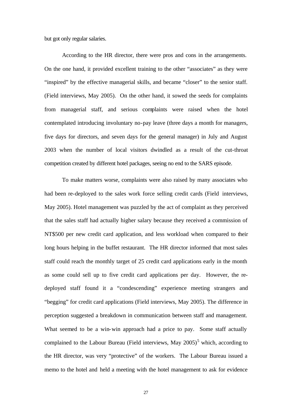but got only regular salaries.

According to the HR director, there were pros and cons in the arrangements. On the one hand, it provided excellent training to the other "associates" as they were "inspired" by the effective managerial skills, and became "closer" to the senior staff. (Field interviews, May 2005). On the other hand, it sowed the seeds for complaints from managerial staff, and serious complaints were raised when the hotel contemplated introducing involuntary no-pay leave (three days a month for managers, five days for directors, and seven days for the general manager) in July and August 2003 when the number of local visitors dwindled as a result of the cut-throat competition created by different hotel packages, seeing no end to the SARS episode.

To make matters worse, complaints were also raised by many associates who had been re-deployed to the sales work force selling credit cards (Field interviews, May 2005). Hotel management was puzzled by the act of complaint as they perceived that the sales staff had actually higher salary because they received a commission of NT\$500 per new credit card application, and less workload when compared to their long hours helping in the buffet restaurant. The HR director informed that most sales staff could reach the monthly target of 25 credit card applications early in the month as some could sell up to five credit card applications per day. However, the redeployed staff found it a "condescending" experience meeting strangers and "begging" for credit card applications (Field interviews, May 2005). The difference in perception suggested a breakdown in communication between staff and management. What seemed to be a win-win approach had a price to pay. Some staff actually complained to the Labour Bureau (Field interviews, May  $2005$ )<sup>5</sup> which, according to the HR director, was very "protective" of the workers. The Labour Bureau issued a memo to the hotel and held a meeting with the hotel management to ask for evidence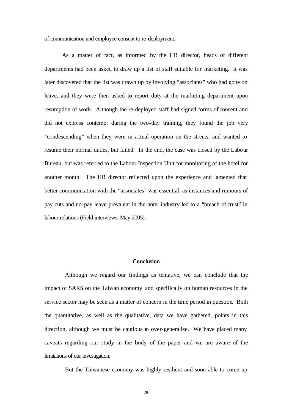of communication and employee consent to re-deployment.

As a matter of fact, as informed by the HR director, heads of different departments had been asked to draw up a list of staff suitable for marketing. It was later discovered that the list was drawn up by involving "associates" who had gone on leave, and they were then asked to report duty at the marketing department upon resumption of work. Although the re-deployed staff had signed forms of consent and did not express contempt during the two-day training, they found the job very "condescending" when they were in actual operation on the streets, and wanted to resume their normal duties, but failed. In the end, the case was closed by the Labour Bureau, but was referred to the Labour Inspection Unit for monitoring of the hotel for another month. The HR director reflected upon the experience and lamented that better communication with the "associates" was essential, as instances and rumours of pay cuts and no-pay leave prevalent in the hotel industry led to a "breach of trust" in labour relations (Field interviews, May 2005).

# **Conclusion**

Although we regard our findings as tentative, we can conclude that the impact of SARS on the Taiwan economy and specifically on human resources in the service sector may be seen as a matter of concern in the time period in question*.* Both the quantitative, as well as the qualitative, data we have gathered, points in this direction, although we must be cautious to over-generalize. We have placed many caveats regarding our study in the body of the paper and we are aware of the limitations of our investigation.

But the Taiwanese economy was highly resilient and soon able to come up

28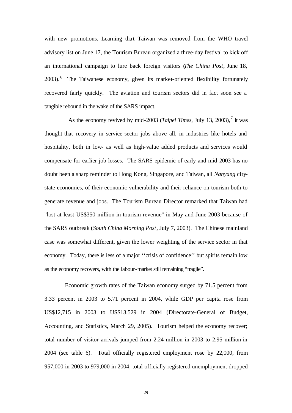with new promotions. Learning that Taiwan was removed from the WHO travel advisory list on June 17, the Tourism Bureau organized a three-day festival to kick off an international campaign to lure back foreign visitors (*The China Post*, June 18, 2003).<sup>6</sup> The Taiwanese economy, given its market-oriented flexibility fortunately recovered fairly quickly. The aviation and tourism sectors did in fact soon see a tangible rebound in the wake of the SARS impact.

As the economy revived by mid-2003 (*Taipei Times*, July 13, 2003),**<sup>7</sup>** it was thought that recovery in service-sector jobs above all, in industries like hotels and hospitality, both in low- as well as high-value added products and services would compensate for earlier job losses. The SARS epidemic of early and mid-2003 has no doubt been a sharp reminder to Hong Kong, Singapore, and Taiwan, all *Nanyang* citystate economies, of their economic vulnerability and their reliance on tourism both to generate revenue and jobs. The Tourism Bureau Director remarked that Taiwan had "lost at least US\$350 million in tourism revenue" in May and June 2003 because of the SARS outbreak (*South China Morning Post*, July 7, 2003). The Chinese mainland case was somewhat different, given the lower weighting of the service sector in that economy. Today, there is less of a major ''crisis of confidence'' but spirits remain low as the economy recovers, with the labour-market still remaining "fragile".

Economic growth rates of the Taiwan economy surged by 71.5 percent from 3.33 percent in 2003 to 5.71 percent in 2004, while GDP per capita rose from US\$12,715 in 2003 to US\$13,529 in 2004 (Directorate-General of Budget, Accounting, and Statistics, March 29, 2005). Tourism helped the economy recover; total number of visitor arrivals jumped from 2.24 million in 2003 to 2.95 million in 2004 (see table 6). Total officially registered employment rose by 22,000, from 957,000 in 2003 to 979,000 in 2004; total officially registered unemployment dropped

29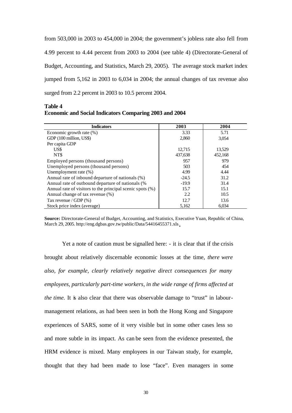from 503,000 in 2003 to 454,000 in 2004; the government's jobless rate also fell from 4.99 percent to 4.44 percent from 2003 to 2004 (see table 4) (Directorate-General of Budget, Accounting, and Statistics, March 29, 2005). The average stock market index jumped from 5,162 in 2003 to 6,034 in 2004; the annual changes of tax revenue also surged from 2.2 percent in 2003 to 10.5 percent 2004.

| <b>Table 4</b>                                                |  |
|---------------------------------------------------------------|--|
| <b>Economic and Social Indicators Comparing 2003 and 2004</b> |  |

| <b>Indicators</b>                                         | 2003    | 2004    |
|-----------------------------------------------------------|---------|---------|
| Economic growth rate (%)                                  | 3.33    | 5.71    |
| GDP (100 million, US\$)                                   | 2,860   | 3.054   |
| Per capita GDP                                            |         |         |
| US\$                                                      | 12,715  | 13,529  |
| NT\$                                                      | 437,638 | 452,168 |
| Employed persons (thousand persons)                       | 957     | 979     |
| Unemployed persons (thousand persons)                     | 503     | 454     |
| Unemployment rate (%)                                     | 4.99    | 4.44    |
| Annual rate of inbound departure of nationals (%)         | $-24.5$ | 31.2    |
| Annual rate of outbound departure of nationals (%         | $-19.9$ | 31.4    |
| Annual rate of visitors to the principal scenic spots (%) | 15.7    | 15.1    |
| Annual change of tax revenue (%)                          | 2.2     | 10.5    |
| Tax revenue / GDP $(\%)$                                  | 12.7    | 13.6    |
| Stock price index (average)                               | 5,162   | 6,034   |

**Source:** Directorate-General of Budget, Accounting, and Statistics, Executive Yuan, Republic of China, March 29, 2005. http://eng.dgbas.gov.tw/public/Data/54416455371.xls.

Yet a note of caution must be signalled here: - it is clear that if the crisis brought about relatively discernable economic losses at the time, *there were also, for example, clearly relatively negative direct consequences for many employees, particularly part-time workers, in the wide range of firms affected at the time.* It is also clear that there was observable damage to "trust" in labourmanagement relations, as had been seen in both the Hong Kong and Singapore experiences of SARS, some of it very visible but in some other cases less so and more subtle in its impact. As can be seen from the evidence presented, the HRM evidence is mixed. Many employees in our Taiwan study, for example, thought that they had been made to lose "face". Even managers in some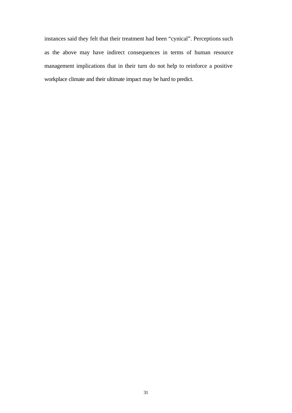instances said they felt that their treatment had been "cynical". Perceptions such as the above may have indirect consequences in terms of human resource management implications that in their turn do not help to reinforce a positive workplace climate and their ultimate impact may be hard to predict.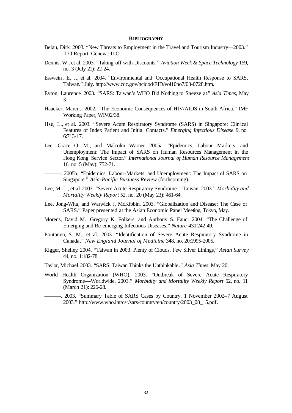#### **BIBLIOGRAPHY**

- Belau, Dirk. 2003. "New Threats to Employment in the Travel and Tourism Industry—2003." ILO Report, Geneva: ILO.
- Dennis, W., et al. 2003. "Taking off with Discounts." *Aviation Week & Space Technology* 159, no. 3 (July 21): 22-24.
- Esswein, E. J., et al. 2004. "Environmental and Occupational Health Response to SARS, Taiwan." July. http://www.cdc.gov/ncidod/EID/vol10no7/03-0728.htm.
- Eyton, Laurence. 2003. "SARS: Taiwan's WHO Bid Nothing to Sneeze at." *Asia Times*, May 3.
- Haacker, Marcus. 2002. "The Economic Consequences of HIV/AIDS in South Africa." IMF Working Paper, WP/02/38.
- Hsu, L., et al. 2003. "Severe Acute Respiratory Syndrome (SARS) in Singapore: Clinical Features of Index Patient and Initial Contacts." *Emerging Infectious Disease* 9, no. 6:713-17.
- Lee, Grace O. M., and Malcolm Warner. 2005a. "Epidemics, Labour Markets, and Unemployment: The Impact of SARS on Human Resources Management in the Hong Kong Service Sector." *International Journal of Human Resource Management* 16, no. 5 (May): 752-71.
- ———. 2005b. "Epidemics, Labour-Markets, and Unemployment: The Impact of SARS on Singapore." *Asia-Pacific Business Review* (forthcoming).
- Lee, M. L., et al. 2003. "Severe Acute Respiratory Syndrome—Taiwan, 2003." *Morbidity and Mortality Weekly Report* 52, no. 20 (May 23): 461-64.
- Lee, Jong-Wha, and Warwick J. McKibbin. 2003. "Globalization and Disease: The Case of SARS." Paper presented at the Asian Economic Panel Meeting, Tokyo, May.
- Morens, David M., Gregory K. Folkers, and Anthony S. Fauci. 2004. "The Challenge of Emerging and Re-emerging Infectious Diseases." *Nature* 430:242-49.
- Poutanen, S. M., et al. 2003. "Identification of Severe Acute Respiratory Syndrome in Canada." *New England Journal of Medicine* 348, no. 20:1995-2005.
- Rigger, Shelley. 2004. "Taiwan in 2003: Plenty of Clouds, Few Silver Linings," *Asian Survey* 44, no. 1:182-78.
- Taylor, Michael. 2003. "SARS: Taiwan Thinks the Unthinkable." *Asia Times*, May 20.
- World Health Organization (WHO). 2003. "Outbreak of Severe Acute Respiratory Syndrome—Worldwide, 2003." *Morbidity and Mortality Weekly Report* 52, no. 11 (March 21): 226-28.
- ———. 2003. "Summary Table of SARS Cases by Country, 1 November 2002–7 August 2003." http://www.who.int/csr/sars/country/en/country/2003\_08\_15.pdf.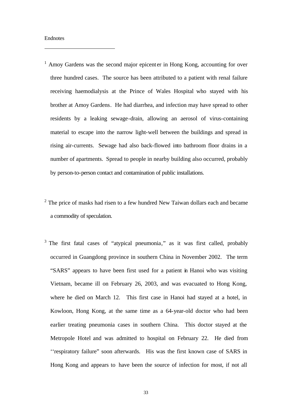#### Endnotes

j

- <sup>1</sup> Amoy Gardens was the second major epicenter in Hong Kong, accounting for over three hundred cases. The source has been attributed to a patient with renal failure receiving haemodialysis at the Prince of Wales Hospital who stayed with his brother at Amoy Gardens. He had diarrhea, and infection may have spread to other residents by a leaking sewage-drain, allowing an aerosol of virus-containing material to escape into the narrow light-well between the buildings and spread in rising air-currents. Sewage had also back-flowed into bathroom floor drains in a number of apartments. Spread to people in nearby building also occurred, probably by person-to-person contact and contamination of public installations.
- $2$  The price of masks had risen to a few hundred New Taiwan dollars each and became a commodity of speculation.
- <sup>3</sup> The first fatal cases of "atypical pneumonia," as it was first called, probably occurred in Guangdong province in southern China in November 2002. The term "SARS" appears to have been first used for a patient in Hanoi who was visiting Vietnam, became ill on February 26, 2003, and was evacuated to Hong Kong, where he died on March 12. This first case in Hanoi had stayed at a hotel, in Kowloon, Hong Kong, at the same time as a 64-year-old doctor who had been earlier treating pneumonia cases in southern China. This doctor stayed at the Metropole Hotel and was admitted to hospital on February 22. He died from ''respiratory failure" soon afterwards. His was the first known case of SARS in Hong Kong and appears to have been the source of infection for most, if not all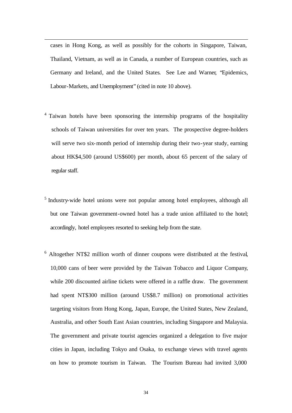cases in Hong Kong, as well as possibly for the cohorts in Singapore, Taiwan, Thailand, Vietnam, as well as in Canada, a number of European countries, such as Germany and Ireland, and the United States. See Lee and Warner, "Epidemics, Labour-Markets, and Unemployment" (cited in note 10 above).

j

- <sup>4</sup> Taiwan hotels have been sponsoring the internship programs of the hospitality schools of Taiwan universities for over ten years. The prospective degree-holders will serve two six-month period of internship during their two-year study, earning about HK\$4,500 (around US\$600) per month, about 65 percent of the salary of regular staff.
- <sup>5</sup> Industry-wide hotel unions were not popular among hotel employees, although all but one Taiwan government-owned hotel has a trade union affiliated to the hotel; accordingly, hotel employees resorted to seeking help from the state.
- <sup>6</sup> Altogether NT\$2 million worth of dinner coupons were distributed at the festival, 10,000 cans of beer were provided by the Taiwan Tobacco and Liquor Company, while 200 discounted airline tickets were offered in a raffle draw. The government had spent NT\$300 million (around US\$8.7 million) on promotional activities targeting visitors from Hong Kong, Japan, Europe, the United States, New Zealand, Australia, and other South East Asian countries, including Singapore and Malaysia. The government and private tourist agencies organized a delegation to five major cities in Japan, including Tokyo and Osaka, to exchange views with travel agents on how to promote tourism in Taiwan. The Tourism Bureau had invited 3,000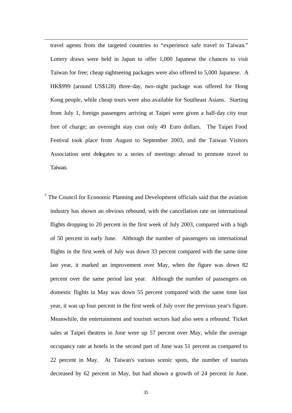travel agents from the targeted countries to "experience safe travel to Taiwan." Lottery draws were held in Japan to offer 1,000 Japanese the chances to visit Taiwan for free; cheap sightseeing packages were also offered to 5,000 Japanese. A HK\$999 (around US\$128) three-day, two-night package was offered for Hong Kong people, while cheap tours were also available for Southeast Asians. Starting from July 1, foreign passengers arriving at Taipei were given a half-day city tour free of charge; an overnight stay cost only 49 Euro dollars. The Taipei Food Festival took place from August to September 2003, and the Taiwan Visitors Association sent delegates to a series of meetings abroad to promote travel to Taiwan.

j

 $<sup>7</sup>$  The Council for Economic Planning and Development officials said that the aviation</sup> industry has shown an obvious rebound, with the cancellation rate on international flights dropping to 20 percent in the first week of July 2003, compared with a high of 50 percent in early June. Although the number of passengers on international flights in the first week of July was down 33 percent compared with the same time last year, it marked an improvement over May, when the figure was down 82 percent over the same period last year. Although the number of passengers on domestic flights in May was down 55 percent compared with the same time last year, it was up four percent in the first week of July over the previous year's figure. Meanwhile, the entertainment and tourism sectors had also seen a rebound. Ticket sales at Taipei theatres in June were up 57 percent over May, while the average occupancy rate at hotels in the second part of June was 51 percent as compared to 22 percent in May. At Taiwan's various scenic spots, the number of tourists decreased by 62 percent in May, but had shown a growth of 24 percent in June.